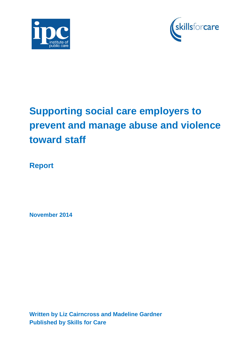



# **Supporting social care employers to prevent and manage abuse and violence toward staff**

**Report**

**November 2014**

**Written by Liz Cairncross and Madeline Gardner Published by Skills for Care**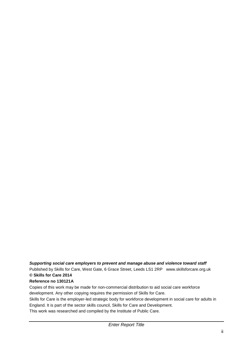#### *Supporting social care employers to prevent and manage abuse and violence toward staff*

Published by Skills for Care, West Gate, 6 Grace Street, Leeds LS1 2RP www.skillsforcare.org.uk **© Skills for Care 2014**

#### **Reference no 130121A**

Copies of this work may be made for non-commercial distribution to aid social care workforce development. Any other copying requires the permission of Skills for Care.

Skills for Care is the employer-led strategic body for workforce development in social care for adults in England. It is part of the sector skills council, Skills for Care and Development. This work was researched and compiled by the Institute of Public Care.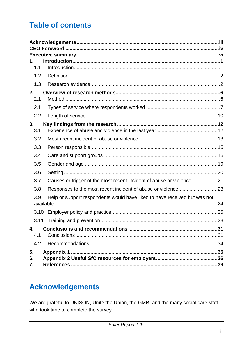# **Table of contents**

| 1.<br>1.1<br>1.2<br>1.3 |                                                                           |
|-------------------------|---------------------------------------------------------------------------|
| 2.                      |                                                                           |
| 2.1                     |                                                                           |
| 2.1                     |                                                                           |
| 2.2                     |                                                                           |
| 3.                      |                                                                           |
| 3.1                     |                                                                           |
| 3.2                     |                                                                           |
| 3.3                     |                                                                           |
| 3.4                     |                                                                           |
| 3.5                     |                                                                           |
| 3.6                     |                                                                           |
| 3.7                     | Causes or trigger of the most recent incident of abuse or violence 21     |
| 3.8                     | Responses to the most recent incident of abuse or violence23              |
| 3.9                     | Help or support respondents would have liked to have received but was not |
| 3.10                    |                                                                           |
| 3.11                    |                                                                           |
| 4.                      |                                                                           |
| 4.1                     |                                                                           |
| 4.2                     |                                                                           |
| 5.<br>6.<br>7.          |                                                                           |

# <span id="page-2-0"></span>**Acknowledgements**

We are grateful to UNISON, Unite the Union, the GMB, and the many social care staff who took time to complete the survey.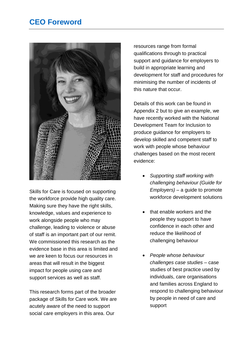# <span id="page-3-0"></span>**CEO Foreword**



Skills for Care is focused on supporting the workforce provide high quality care. Making sure they have the right skills, knowledge, values and experience to work alongside people who may challenge, leading to violence or abuse of staff is an important part of our remit. We commissioned this research as the evidence base in this area is limited and we are keen to focus our resources in areas that will result in the biggest impact for people using care and support services as well as staff.

This research forms part of the broader package of Skills for Care work. We are acutely aware of the need to support social care employers in this area. Our

resources range from formal qualifications through to practical support and guidance for employers to build in appropriate learning and development for staff and procedures for minimising the number of incidents of this nature that occur.

Details of this work can be found in Appendix 2 but to give an example, we have recently worked with the National Development Team for Inclusion to produce guidance for employers to develop skilled and competent staff to work with people whose behaviour challenges based on the most recent evidence:

- *Supporting staff working with challenging behaviour (Guide for Employers)* – a guide to promote workforce development solutions
- that enable workers and the people they support to have confidence in each other and reduce the likelihood of challenging behaviour
- *People whose behaviour challenges case studies* – case studies of best practice used by individuals, care organisations and families across England to respond to challenging behaviour by people in need of care and support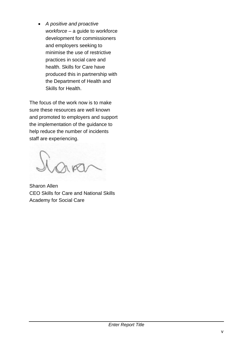*A positive and proactive workforce* – a guide to workforce development for commissioners and employers seeking to minimise the use of restrictive practices in social care and health. Skills for Care have produced this in partnership with the Department of Health and Skills for Health.

The focus of the work now is to make sure these resources are well known and promoted to employers and support the implementation of the guidance to help reduce the number of incidents staff are experiencing.

Sharon Allen CEO Skills for Care and National Skills Academy for Social Care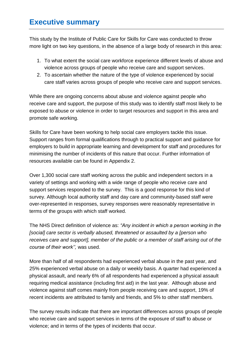# **Executive summary**

This study by the Institute of Public Care for Skills for Care was conducted to throw more light on two key questions, in the absence of a large body of research in this area:

- 1. To what extent the social care workforce experience different levels of abuse and violence across groups of people who receive care and support services.
- 2. To ascertain whether the nature of the type of violence experienced by social care staff varies across groups of people who receive care and support services.

While there are ongoing concerns about abuse and violence against people who receive care and support, the purpose of this study was to identify staff most likely to be exposed to abuse or violence in order to target resources and support in this area and promote safe working.

Skills for Care have been working to help social care employers tackle this issue. Support ranges from formal qualifications through to practical support and guidance for employers to build in appropriate learning and development for staff and procedures for minimising the number of incidents of this nature that occur. Further information of resources available can be found in Appendix 2.

Over 1,300 social care staff working across the public and independent sectors in a variety of settings and working with a wide range of people who receive care and support services responded to the survey. This is a good response for this kind of survey. Although local authority staff and day care and community-based staff were over-represented in responses, survey responses were reasonably representative in terms of the groups with which staff worked.

The NHS Direct definition of violence as: *"Any incident in which a person working in the [social] care sector is verbally abused, threatened or assaulted by a [person who receives care and support], member of the public or a member of staff arising out of the course of their work'',* was used.

More than half of all respondents had experienced verbal abuse in the past year, and 25% experienced verbal abuse on a daily or weekly basis. A quarter had experienced a physical assault, and nearly 6% of all respondents had experienced a physical assault requiring medical assistance (including first aid) in the last year. Although abuse and violence against staff comes mainly from people receiving care and support, 19% of recent incidents are attributed to family and friends, and 5% to other staff members.

The survey results indicate that there are important differences across groups of people who receive care and support services in terms of the exposure of staff to abuse or violence; and in terms of the types of incidents that occur.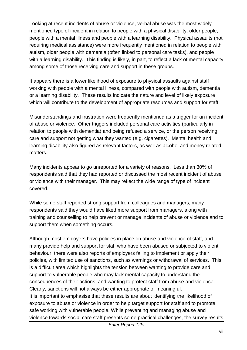Looking at recent incidents of abuse or violence, verbal abuse was the most widely mentioned type of incident in relation to people with a physical disability, older people, people with a mental illness and people with a learning disability. Physical assaults (not requiring medical assistance) were more frequently mentioned in relation to people with autism, older people with dementia (often linked to personal care tasks), and people with a learning disability. This finding is likely, in part, to reflect a lack of mental capacity among some of those receiving care and support in these groups.

It appears there is a lower likelihood of exposure to physical assaults against staff working with people with a mental illness, compared with people with autism, dementia or a learning disability. These results indicate the nature and level of likely exposure which will contribute to the development of appropriate resources and support for staff.

Misunderstandings and frustration were frequently mentioned as a trigger for an incident of abuse or violence. Other triggers included personal care activities (particularly in relation to people with dementia) and being refused a service, or the person receiving care and support not getting what they wanted (e.g. cigarettes). Mental health and learning disability also figured as relevant factors, as well as alcohol and money related matters.

Many incidents appear to go unreported for a variety of reasons. Less than 30% of respondents said that they had reported or discussed the most recent incident of abuse or violence with their manager. This may reflect the wide range of type of incident covered.

While some staff reported strong support from colleagues and managers, many respondents said they would have liked more support from managers, along with training and counselling to help prevent or manage incidents of abuse or violence and to support them when something occurs.

Although most employers have policies in place on abuse and violence of staff, and many provide help and support for staff who have been abused or subjected to violent behaviour, there were also reports of employers failing to implement or apply their policies, with limited use of sanctions, such as warnings or withdrawal of services. This is a difficult area which highlights the tension between wanting to provide care and support to vulnerable people who may lack mental capacity to understand the consequences of their actions, and wanting to protect staff from abuse and violence. Clearly, sanctions will not always be either appropriate or meaningful. It is important to emphasise that these results are about identifying the likelihood of exposure to abuse or violence in order to help target support for staff and to promote safe working with vulnerable people. While preventing and managing abuse and violence towards social care staff presents some practical challenges, the survey results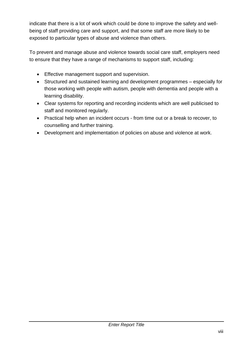indicate that there is a lot of work which could be done to improve the safety and wellbeing of staff providing care and support, and that some staff are more likely to be exposed to particular types of abuse and violence than others.

To prevent and manage abuse and violence towards social care staff, employers need to ensure that they have a range of mechanisms to support staff, including:

- **Effective management support and supervision.**
- Structured and sustained learning and development programmes especially for those working with people with autism, people with dementia and people with a learning disability.
- Clear systems for reporting and recording incidents which are well publicised to staff and monitored regularly.
- Practical help when an incident occurs from time out or a break to recover, to counselling and further training.
- Development and implementation of policies on abuse and violence at work.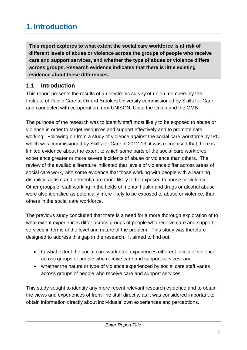# <span id="page-8-0"></span>**1. Introduction**

**This report explores to what extent the social care workforce is at risk of different levels of abuse or violence across the groups of people who receive care and support services, and whether the type of abuse or violence differs across groups. Research evidence indicates that there is little existing evidence about these differences.** 

# <span id="page-8-1"></span>**1.1 Introduction**

This report presents the results of an electronic survey of union members by the Institute of Public Care at Oxford Brookes University commissioned by Skills for Care and conducted with co-operation from UNISON, Unite the Union and the GMB.

The purpose of the research was to identify staff most likely to be exposed to abuse or violence in order to target resources and support effectively and to promote safe working. Following on from a study of violence against the social care workforce by IPC which was commissioned by Skills for Care in 2012-13, it was recognised that there is limited evidence about the extent to which some parts of the social care workforce experience greater or more severe incidents of abuse or violence than others. The review of the available literature indicated that levels of violence differ across areas of social care work, with some evidence that those working with people with a learning disability, autism and dementia are more likely to be exposed to abuse or violence. Other groups of staff working in the fields of mental health and drugs or alcohol abuse were also identified as potentially more likely to be exposed to abuse or violence, than others in the social care workforce.

The previous study concluded that there is a need for a more thorough exploration of to what extent experiences differ across groups of people who receive care and support services in terms of the level and nature of the problem. This study was therefore designed to address this gap in the research. It aimed to find out:

- to what extent the social care workforce experiences different levels of violence across groups of people who receive care and support services, and
- whether the nature or type of violence experienced by social care staff varies across groups of people who receive care and support services.

This study sought to identify any more recent relevant research evidence and to obtain the views and experiences of front-line staff directly, as it was considered important to obtain information directly about individuals' own experiences and perceptions.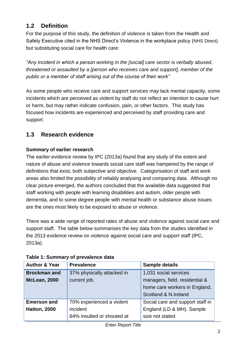# <span id="page-9-0"></span>**1.2 Definition**

For the purpose of this study, the definition of violence is taken from the Health and Safety Executive cited in the NHS Direct's Violence in the workplace policy (NHS Direct) but substituting social care for health care:

*"Any incident in which a person working in the [social] care sector is verbally abused, threatened or assaulted by a [person who receives care and support], member of the public or a member of staff arising out of the course of their work''* 

As some people who receive care and support services may lack mental capacity, some incidents which are perceived as violent by staff do not reflect an intention to cause hurt or harm, but may rather indicate confusion, pain, or other factors. This study has focused how incidents are experienced and perceived by staff providing care and support.

# <span id="page-9-1"></span>**1.3 Research evidence**

#### **Summary of earlier research**

The earlier evidence review by IPC (2013a) found that any study of the extent and nature of abuse and violence towards social care staff was hampered by the range of definitions that exist, both subjective and objective. Categorisation of staff and work areas also limited the possibility of reliably analysing and comparing data. Although no clear picture emerged, the authors concluded that the available data suggested that staff working with people with learning disabilities and autism, older people with dementia, and to some degree people with mental health or substance abuse issues are the ones most likely to be exposed to abuse or violence.

There was a wide range of reported rates of abuse and violence against social care and support staff. The table below summarises the key data from the studies identified in the 2013 evidence review on violence against social care and support staff (IPC, 2013a).

| <b>Author &amp; Year</b> | <b>Prevalence</b>          | <b>Sample details</b>            |
|--------------------------|----------------------------|----------------------------------|
| <b>Brockman and</b>      | 37% physically attacked in | 1,031 social services            |
| <b>McLean, 2000</b>      | current job.               | managers, field, residential &   |
|                          |                            | home care workers in England,    |
|                          |                            | Scotland & N.Ireland             |
| <b>Emerson and</b>       | 70% experienced a violent  | Social care and support staff in |
| <b>Hatton, 2000</b>      | incident                   | England (LD & MH). Sample        |
|                          | 64% insulted or shouted at | size not stated.                 |

### **Table 1: Summary of prevalence data**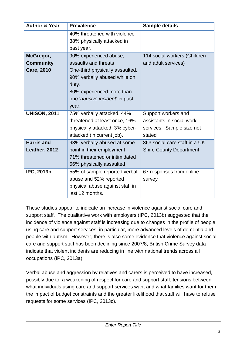| <b>Author &amp; Year</b> | <b>Prevalence</b>               | <b>Sample details</b>          |
|--------------------------|---------------------------------|--------------------------------|
|                          | 40% threatened with violence    |                                |
|                          | 38% physically attacked in      |                                |
|                          | past year.                      |                                |
| McGregor,                | 90% experienced abuse,          | 114 social workers (Children   |
| <b>Community</b>         | assaults and threats            | and adult services)            |
| <b>Care, 2010</b>        | One-third physically assaulted, |                                |
|                          | 90% verbally abused while on    |                                |
|                          | duty.                           |                                |
|                          | 80% experienced more than       |                                |
|                          | one 'abusive incident' in past  |                                |
|                          | year.                           |                                |
| <b>UNISON, 2011</b>      | 75% verbally attacked, 44%      | Support workers and            |
|                          | threatened at least once, 16%   | assistants in social work      |
|                          | physically attacked, 3% cyber-  | services. Sample size not      |
|                          | attacked (in current job).      | stated                         |
| <b>Harris and</b>        | 93% verbally abused at some     | 363 social care staff in a UK  |
| Leather, 2012            | point in their employment       | <b>Shire County Department</b> |
|                          | 71% threatened or intimidated   |                                |
|                          | 56% physically assaulted        |                                |
| <b>IPC, 2013b</b>        | 55% of sample reported verbal   | 67 responses from online       |
|                          | abuse and 52% reported          | survey                         |
|                          | physical abuse against staff in |                                |
|                          | last 12 months.                 |                                |

These studies appear to indicate an increase in violence against social care and support staff. The qualitative work with employers (IPC, 2013b) suggested that the incidence of violence against staff is increasing due to changes in the profile of people using care and support services: in particular, more advanced levels of dementia and people with autism. However, there is also some evidence that violence against social care and support staff has been declining since 2007/8, British Crime Survey data indicate that violent incidents are reducing in line with national trends across all occupations (IPC, 2013a).

Verbal abuse and aggression by relatives and carers is perceived to have increased, possibly due to: a weakening of respect for care and support staff; tensions between what individuals using care and support services want and what families want for them; the impact of budget constraints and the greater likelihood that staff will have to refuse requests for some services (IPC, 2013c).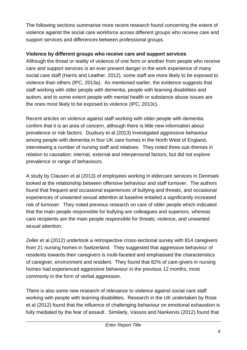The following sections summarise more recent research found concerning the extent of violence against the social care workforce across different groups who receive care and support services and differences between professional groups.

## **Violence by different groups who receive care and support services**

Although the threat or reality of violence of one form or another from people who receive care and support services is an ever present danger in the work experience of many social care staff (Harris and Leather, 2012), some staff are more likely to be exposed to violence than others (IPC, 2013a). As mentioned earlier, the evidence suggests that staff working with older people with dementia, people with learning disabilities and autism, and to some extent people with mental health or substance abuse issues are the ones most likely to be exposed to violence (IPC, 2013c).

Recent articles on violence against staff working with older people with dementia confirm that it is an area of concern, although there is little new information about prevalence or risk factors. Duxbury et al (2013) investigated aggressive behaviour among people with dementia in four UK care homes in the North West of England, interviewing a number of nursing staff and relatives. They noted three sub-themes in relation to causation: internal, external and interpersonal factors, but did not explore prevalence or range of behaviours.

A study by Clausen et al (2013) of employees working in eldercare services in Denmark looked at the relationship between offensive behaviour and staff turnover. The authors found that frequent and occasional experiences of bullying and threats, and occasional experiences of unwanted sexual attention at baseline entailed a significantly increased risk of turnover. They noted previous research on care of older people which indicated that the main people responsible for bullying are colleagues and superiors, whereas care recipients are the main people responsible for threats, violence, and unwanted sexual attention.

Zeller et al (2012) undertook a retrospective cross-sectional survey with 814 caregivers from 21 nursing homes in Switzerland. They suggested that aggressive behaviour of residents towards their caregivers is multi-faceted and emphasised the characteristics of caregiver, environment and resident. They found that 82% of care-givers in nursing homes had experienced aggressive behaviour in the previous 12 months, most commonly in the form of verbal aggression.

There is also some new research of relevance to violence against social care staff working with people with learning disabilities. Research in the UK undertaken by Rose et al (2012) found that the influence of challenging behaviour on emotional exhaustion is fully mediated by the fear of assault. Similarly, Vassos and Nankervis (2012) found that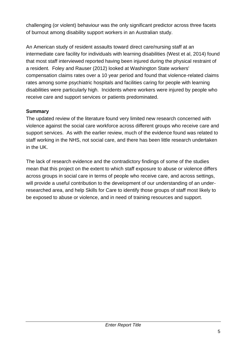challenging (or violent) behaviour was the only significant predictor across three facets of burnout among disability support workers in an Australian study.

An American study of resident assaults toward direct care/nursing staff at an intermediate care facility for individuals with learning disabilities (West et al, 2014) found that most staff interviewed reported having been injured during the physical restraint of a resident. Foley and Rauser (2012) looked at Washington State workers' compensation claims rates over a 10 year period and found that violence-related claims rates among some psychiatric hospitals and facilities caring for people with learning disabilities were particularly high. Incidents where workers were injured by people who receive care and support services or patients predominated.

#### **Summary**

The updated review of the literature found very limited new research concerned with violence against the social care workforce across different groups who receive care and support services. As with the earlier review, much of the evidence found was related to staff working in the NHS, not social care, and there has been little research undertaken in the UK.

The lack of research evidence and the contradictory findings of some of the studies mean that this project on the extent to which staff exposure to abuse or violence differs across groups in social care in terms of people who receive care, and across settings, will provide a useful contribution to the development of our understanding of an underresearched area, and help Skills for Care to identify those groups of staff most likely to be exposed to abuse or violence, and in need of training resources and support.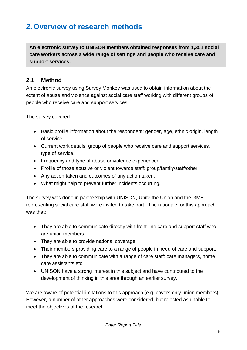# <span id="page-13-0"></span>**2. Overview of research methods**

**An electronic survey to UNISON members obtained responses from 1,351 social care workers across a wide range of settings and people who receive care and support services.**

## <span id="page-13-1"></span>**2.1 Method**

An electronic survey using Survey Monkey was used to obtain information about the extent of abuse and violence against social care staff working with different groups of people who receive care and support services.

The survey covered:

- Basic profile information about the respondent: gender, age, ethnic origin, length of service.
- Current work details: group of people who receive care and support services, type of service.
- Frequency and type of abuse or violence experienced.
- Profile of those abusive or violent towards staff: group/family/staff/other.
- Any action taken and outcomes of any action taken.
- What might help to prevent further incidents occurring.

The survey was done in partnership with UNISON, Unite the Union and the GMB representing social care staff were invited to take part. The rationale for this approach was that:

- They are able to communicate directly with front-line care and support staff who are union members.
- They are able to provide national coverage.
- Their members providing care to a range of people in need of care and support.
- They are able to communicate with a range of care staff: care managers, home care assistants etc.
- UNISON have a strong interest in this subject and have contributed to the development of thinking in this area through an earlier survey.

We are aware of potential limitations to this approach (e.g. covers only union members). However, a number of other approaches were considered, but rejected as unable to meet the objectives of the research: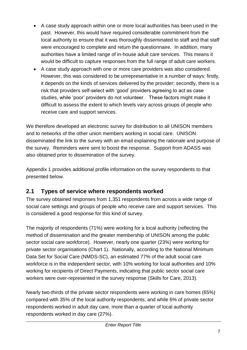- A case study approach within one or more local authorities has been used in the past. However, this would have required considerable commitment from the local authority to ensure that it was thoroughly disseminated to staff and that staff were encouraged to complete and return the questionnaire. In addition, many authorities have a limited range of in-house adult care services. This means it would be difficult to capture responses from the full range of adult care workers.
- A case study approach with one or more care providers was also considered. However, this was considered to be unrepresentative in a number of ways: firstly, it depends on the kinds of services delivered by the provider; secondly, there is a risk that providers self-select with 'good' providers agreeing to act as case studies, while 'poor' providers do not volunteer. These factors might make it difficult to assess the extent to which levels vary across groups of people who receive care and support services.

We therefore developed an electronic survey for distribution to all UNISON members and to networks of the other union members working in social care. UNISON disseminated the link to the survey with an email explaining the rationale and purpose of the survey. Reminders were sent to boost the response. Support from ADASS was also obtained prior to dissemination of the survey.

Appendix 1 provides additional profile information on the survey respondents to that presented below.

# <span id="page-14-0"></span>**2.1 Types of service where respondents worked**

The survey obtained responses from 1,351 respondents from across a wide range of social care settings and groups of people who receive care and support services. This is considered a good response for this kind of survey.

The majority of respondents (71%) were working for a local authority (reflecting the method of dissemination and the greater membership of UNISON among the public sector social care workforce). However, nearly one quarter (23%) were working for private sector organisations (Chart 1). Nationally, according to the National Minimum Data Set for Social Care (NMDS-SC), an estimated 77% of the adult social care workforce is in the independent sector, with 10% working for local authorities and 10% working for recipients of Direct Payments, indicating that public sector social care workers were over-represented in the survey response (Skills for Care, 2013).

Nearly two-thirds of the private sector respondents were working in care homes (65%) compared with 35% of the local authority respondents; and while 6% of private sector respondents worked in adult day care, more than a quarter of local authority respondents worked in day care (27%).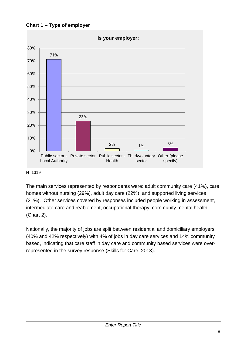**Chart 1 – Type of employer**



#### N=1319

The main services represented by respondents were: adult community care (41%), care homes without nursing (29%), adult day care (22%), and supported living services (21%). Other services covered by responses included people working in assessment, intermediate care and reablement, occupational therapy, community mental health (Chart 2).

Nationally, the majority of jobs are split between residential and domiciliary employers (40% and 42% respectively) with 4% of jobs in day care services and 14% community based, indicating that care staff in day care and community based services were overrepresented in the survey response (Skills for Care, 2013).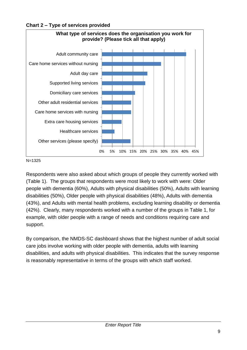



N=1325

Respondents were also asked about which groups of people they currently worked with (Table 1). The groups that respondents were most likely to work with were: Older people with dementia (60%), Adults with physical disabilities (50%), Adults with learning disabilities (50%), Older people with physical disabilities (48%), Adults with dementia (43%), and Adults with mental health problems, excluding learning disability or dementia (42%). Clearly, many respondents worked with a number of the groups in Table 1, for example, with older people with a range of needs and conditions requiring care and support.

By comparison, the NMDS-SC dashboard shows that the highest number of adult social care jobs involve working with older people with dementia, adults with learning disabilities, and adults with physical disabilities. This indicates that the survey response is reasonably representative in terms of the groups with which staff worked.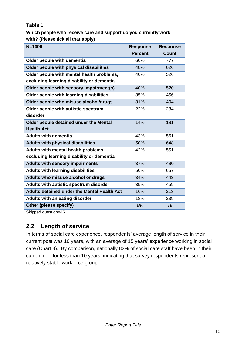### **Table 1**

| Which people who receive care and support do you currently work |                 |                 |  |  |
|-----------------------------------------------------------------|-----------------|-----------------|--|--|
| with? (Please tick all that apply)                              |                 |                 |  |  |
| $N = 1306$                                                      | <b>Response</b> | <b>Response</b> |  |  |
|                                                                 | <b>Percent</b>  | <b>Count</b>    |  |  |
| Older people with dementia                                      | 60%             | 777             |  |  |
| Older people with physical disabilities                         | 48%             | 626             |  |  |
| Older people with mental health problems,                       | 40%             | 526             |  |  |
| excluding learning disability or dementia                       |                 |                 |  |  |
| Older people with sensory impairment(s)                         | 40%             | 520             |  |  |
| Older people with learning disabilities                         | 35%             | 456             |  |  |
| Older people who misuse alcohol/drugs                           | 31%             | 404             |  |  |
| Older people with autistic spectrum                             | 22%             | 284             |  |  |
| disorder                                                        |                 |                 |  |  |
| Older people detained under the Mental                          | 14%             | 181             |  |  |
| <b>Health Act</b>                                               |                 |                 |  |  |
| <b>Adults with dementia</b>                                     | 43%             | 561             |  |  |
| <b>Adults with physical disabilities</b>                        | 50%             | 648             |  |  |
| Adults with mental health problems,                             | 42%             | 551             |  |  |
| excluding learning disability or dementia                       |                 |                 |  |  |
| <b>Adults with sensory impairments</b>                          | 37%             | 480             |  |  |
| <b>Adults with learning disabilities</b>                        | 50%             | 657             |  |  |
| Adults who misuse alcohol or drugs                              | 34%             | 443             |  |  |
| Adults with autistic spectrum disorder                          | 35%             | 459             |  |  |
| <b>Adults detained under the Mental Health Act</b>              | 16%             | 213             |  |  |
| Adults with an eating disorder                                  | 18%             | 239             |  |  |
| Other (please specify)                                          | 6%              | 79              |  |  |

Skipped question=45

# <span id="page-17-0"></span>**2.2 Length of service**

In terms of social care experience, respondents' average length of service in their current post was 10 years, with an average of 15 years' experience working in social care (Chart 3). By comparison, nationally 82% of social care staff have been in their current role for less than 10 years, indicating that survey respondents represent a relatively stable workforce group.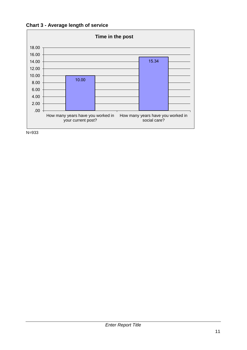



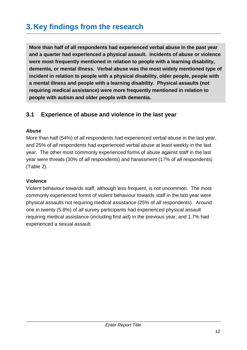# <span id="page-19-0"></span>**3. Key findings from the research**

**More than half of all respondents had experienced verbal abuse in the past year and a quarter had experienced a physical assault. Incidents of abuse or violence were most frequently mentioned in relation to people with a learning disability, dementia, or mental illness. Verbal abuse was the most widely mentioned type of incident in relation to people with a physical disability, older people, people with a mental illness and people with a learning disability. Physical assaults (not requiring medical assistance) were more frequently mentioned in relation to people with autism and older people with dementia.** 

# <span id="page-19-1"></span>**3.1 Experience of abuse and violence in the last year**

#### **Abuse**

More than half (54%) of *all* respondents had experienced verbal abuse in the last year, and 25% of *all* respondents had experienced verbal abuse at least weekly in the last year. The other most commonly experienced forms of abuse against staff in the last year were threats (30% of *all* respondents) and harassment (17% of *all* respondents) (Table 2).

### **Violence**

Violent behaviour towards staff, although less frequent, is not uncommon. The most commonly experienced forms of violent behaviour towards staff in the last year were physical assaults not requiring medical assistance (25% of *all* respondents). Around one in twenty (5.8%) of *all* survey participants had experienced physical assault requiring medical assistance (including first aid) in the previous year; and 1.7% had experienced a sexual assault.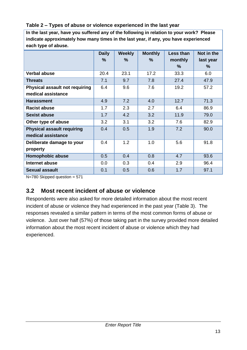#### **Table 2 – Types of abuse or violence experienced in the last year**

**In the last year, have you suffered any of the following in relation to your work? Please indicate approximately how many times in the last year, if any, you have experienced each type of abuse.**

|                                       | <b>Daily</b> | <b>Weekly</b> | <b>Monthly</b> | Less than | Not in the |
|---------------------------------------|--------------|---------------|----------------|-----------|------------|
|                                       | %            | $\frac{9}{6}$ | $\frac{9}{6}$  | monthly   | last year  |
|                                       |              |               |                | $\%$      | %          |
| <b>Verbal abuse</b>                   | 20.4         | 23.1          | 17.2           | 33.3      | 6.0        |
| <b>Threats</b>                        | 7.1          | 9.7           | 7.8            | 27.4      | 47.9       |
| <b>Physical assault not requiring</b> | 6.4          | 9.6           | 7.6            | 19.2      | 57.2       |
| medical assistance                    |              |               |                |           |            |
| <b>Harassment</b>                     | 4.9          | 7.2           | 4.0            | 12.7      | 71.3       |
| <b>Racist abuse</b>                   | 1.7          | 2.3           | 2.7            | 6.4       | 86.9       |
| <b>Sexist abuse</b>                   | 1.7          | 4.2           | 3.2            | 11.9      | 79.0       |
| Other type of abuse                   | 3.2          | 3.1           | 3.2            | 7.6       | 82.9       |
| <b>Physical assault requiring</b>     | 0.4          | 0.5           | 1.9            | 7.2       | 90.0       |
| medical assistance                    |              |               |                |           |            |
| Deliberate damage to your             | 0.4          | 1.2           | 1.0            | 5.6       | 91.8       |
| property                              |              |               |                |           |            |
| <b>Homophobic abuse</b>               | 0.5          | 0.4           | 0.8            | 4.7       | 93.6       |
| Internet abuse                        | 0.0          | 0.3           | 0.4            | 2.9       | 96.4       |
| <b>Sexual assault</b>                 | 0.1          | 0.5           | 0.6            | 1.7       | 97.1       |

N=780 Skipped question = 571

# <span id="page-20-0"></span>**3.2 Most recent incident of abuse or violence**

Respondents were also asked for more detailed information about the most recent incident of abuse or violence they had experienced in the past year (Table 3). The responses revealed a similar pattern in terms of the most common forms of abuse or violence. Just over half (57%) of those taking part in the survey provided more detailed information about the most recent incident of abuse or violence which they had experienced.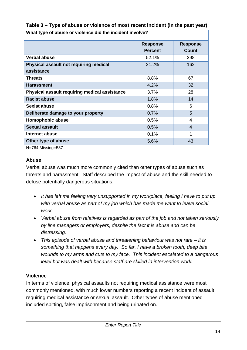| What type of abuse or violence did the incident involve? |                                    |                |  |  |
|----------------------------------------------------------|------------------------------------|----------------|--|--|
|                                                          | <b>Response</b><br><b>Response</b> |                |  |  |
|                                                          | <b>Percent</b>                     | <b>Count</b>   |  |  |
| <b>Verbal abuse</b>                                      | 52.1%                              | 398            |  |  |
| Physical assault not requiring medical                   | 21.2%                              | 162            |  |  |
| assistance                                               |                                    |                |  |  |
| <b>Threats</b>                                           | 8.8%                               | 67             |  |  |
| <b>Harassment</b>                                        | 4.2%                               | 32             |  |  |
| Physical assault requiring medical assistance            | $3.7\%$                            | 28             |  |  |
| <b>Racist abuse</b>                                      | 1.8%                               | 14             |  |  |
| <b>Sexist abuse</b>                                      | 0.8%                               | 6              |  |  |
| Deliberate damage to your property                       | 0.7%                               | 5              |  |  |
| Homophobic abuse                                         | 0.5%                               | 4              |  |  |
| <b>Sexual assault</b>                                    | 0.5%                               | $\overline{4}$ |  |  |
| Internet abuse                                           | 0.1%                               | 1              |  |  |
| Other type of abuse                                      | 5.6%                               | 43             |  |  |

**Table 3 – Type of abuse or violence of most recent incident (in the past year)**

N=764 Missing=587

#### **Abuse**

Verbal abuse was much more commonly cited than other types of abuse such as threats and harassment. Staff described the impact of abuse and the skill needed to defuse potentially dangerous situations:

- It has left me feeling very unsupported in my workplace, feeling I have to put up *with verbal abuse as part of my job which has made me want to leave social work.*
- *Verbal abuse from relatives is regarded as part of the job and not taken seriously by line managers or employers, despite the fact it is abuse and can be distressing.*
- *This episode of verbal abuse and threatening behaviour was not rare – it is something that happens every day. So far, I have a broken tooth, deep bite wounds to my arms and cuts to my face. This incident escalated to a dangerous level but was dealt with because staff are skilled in intervention work.*

#### **Violence**

In terms of violence, physical assaults not requiring medical assistance were most commonly mentioned, with much lower numbers reporting a recent incident of assault requiring medical assistance or sexual assault. Other types of abuse mentioned included spitting, false imprisonment and being urinated on.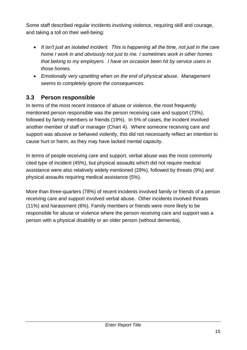Some staff described regular incidents involving violence, requiring skill and courage, and taking a toll on their well-being:

- *It isn't just an isolated incident. This is happening all the time, not just in the care home I work in and obviously not just to me. I sometimes work in other homes that belong to my employers. I have on occasion been hit by service users in those homes.*
- *Emotionally very upsetting when on the end of physical abuse. Management seems to completely ignore the consequences.*

# <span id="page-22-0"></span>**3.3 Person responsible**

In terms of the most recent instance of abuse or violence, the most frequently mentioned person responsible was the person receiving care and support (73%), followed by family members or friends (19%). In 5% of cases, the incident involved another member of staff or manager (Chart 4). Where someone receiving care and support was abusive or behaved violently, this did not necessarily reflect an intention to cause hurt or harm, as they may have lacked mental capacity.

In terms of people receiving care and support, verbal abuse was the most commonly cited type of incident (45%), but physical assaults which did not require medical assistance were also relatively widely mentioned (29%), followed by threats (9%) and physical assaults requiring medical assistance (5%).

More than three-quarters (78%) of recent incidents involved family or friends of a person receiving care and support involved verbal abuse. Other incidents involved threats (11%) and harassment (6%). Family members or friends were more likely to be responsible for abuse or violence where the person receiving care and support was a person with a physical disability or an older person (without dementia).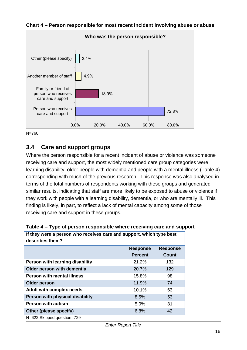

**Chart 4 – Person responsible for most recent incident involving abuse or abuse**

## <span id="page-23-0"></span>**3.4 Care and support groups**

Where the person responsible for a recent incident of abuse or violence was someone receiving care and support, the most widely mentioned care group categories were learning disability, older people with dementia and people with a mental illness (Table 4) corresponding with much of the previous research. This response was also analysed in terms of the total numbers of respondents working with these groups and generated similar results, indicating that staff are more likely to be exposed to abuse or violence if they work with people with a learning disability, dementia, or who are mentally ill. This finding is likely, in part, to reflect a lack of mental capacity among some of those receiving care and support in these groups.

| If they were a person who receives care and support, which type best<br>describes them? |                |              |  |  |
|-----------------------------------------------------------------------------------------|----------------|--------------|--|--|
| <b>Response</b><br><b>Response</b>                                                      |                |              |  |  |
|                                                                                         | <b>Percent</b> | <b>Count</b> |  |  |
| Person with learning disability                                                         | 21.2%          | 132          |  |  |
| Older person with dementia                                                              | 20.7%          | 129          |  |  |
| <b>Person with mental illness</b>                                                       | 15.8%          | 98           |  |  |
| Older person                                                                            | 11.9%          | 74           |  |  |
| <b>Adult with complex needs</b>                                                         | 10.1%          | 63           |  |  |
| Person with physical disability                                                         | 8.5%           | 53           |  |  |
| <b>Person with autism</b>                                                               | 5.0%           | 31           |  |  |
| Other (please specify)                                                                  | 6.8%           | 42           |  |  |
| N=622 Skipped question=729                                                              |                |              |  |  |

#### **Table 4 – Type of person responsible where receiving care and support**

N=760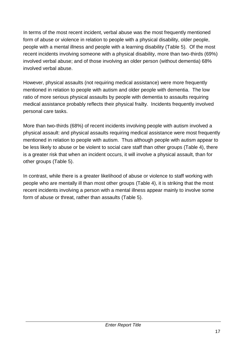In terms of the most recent incident, verbal abuse was the most frequently mentioned form of abuse or violence in relation to people with a physical disability, older people, people with a mental illness and people with a learning disability (Table 5). Of the most recent incidents involving someone with a physical disability, more than two-thirds (69%) involved verbal abuse; and of those involving an older person (without dementia) 68% involved verbal abuse.

However, physical assaults (not requiring medical assistance) were more frequently mentioned in relation to people with autism and older people with dementia. The low ratio of more serious physical assaults by people with dementia to assaults requiring medical assistance probably reflects their physical frailty. Incidents frequently involved personal care tasks.

More than two-thirds (68%) of recent incidents involving people with autism involved a physical assault: and physical assaults requiring medical assistance were most frequently mentioned in relation to people with autism. Thus although people with autism appear to be less likely to abuse or be violent to social care staff than other groups (Table 4), there is a greater risk that when an incident occurs, it will involve a physical assault, than for other groups (Table 5).

In contrast, while there is a greater likelihood of abuse or violence to staff working with people who are mentally ill than most other groups (Table 4), it is striking that the most recent incidents involving a person with a mental illness appear mainly to involve some form of abuse or threat, rather than assaults (Table 5).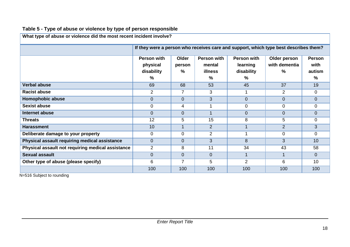| What type of abuse or violence did the most recent incident involve? |                                                                                                                                                                                                                                                      |                |                |                |                |                |
|----------------------------------------------------------------------|------------------------------------------------------------------------------------------------------------------------------------------------------------------------------------------------------------------------------------------------------|----------------|----------------|----------------|----------------|----------------|
|                                                                      | If they were a person who receives care and support, which type best describes them?                                                                                                                                                                 |                |                |                |                |                |
|                                                                      | Person with<br>Person with<br>Older<br>Person with<br>Older person<br><b>Person</b><br>with dementia<br>with<br>physical<br>learning<br>mental<br>person<br>$\%$<br>$\%$<br>autism<br>disability<br><b>illness</b><br>disability<br>%<br>%<br>℅<br>% |                |                |                |                |                |
| <b>Verbal abuse</b>                                                  | 69                                                                                                                                                                                                                                                   | 68             | 53             | 45             | 37             | 19             |
| <b>Racist abuse</b>                                                  | $\overline{2}$                                                                                                                                                                                                                                       | $\overline{7}$ | 3              |                | $\overline{2}$ | $\mathbf 0$    |
| Homophobic abuse                                                     | $\overline{0}$                                                                                                                                                                                                                                       | $\overline{0}$ | 3              | $\overline{0}$ | $\overline{0}$ | $\overline{0}$ |
| Sexist abuse                                                         | $\mathbf 0$                                                                                                                                                                                                                                          | 4              | 1              | $\mathbf 0$    | $\mathbf 0$    | $\mathbf 0$    |
| Internet abuse                                                       | $\Omega$                                                                                                                                                                                                                                             | $\overline{0}$ | $\mathbf 1$    | $\overline{0}$ | $\overline{0}$ | $\Omega$       |
| <b>Threats</b>                                                       | 12                                                                                                                                                                                                                                                   | 5              | 15             | 8              | 5              | $\mathbf 0$    |
| <b>Harassment</b>                                                    | 10                                                                                                                                                                                                                                                   | 1              | $\overline{2}$ |                | $\overline{2}$ | 3              |
| Deliberate damage to your property                                   | $\Omega$                                                                                                                                                                                                                                             | 0              | $\overline{2}$ |                | $\Omega$       | $\Omega$       |
| Physical assault requiring medical assistance                        | $\Omega$                                                                                                                                                                                                                                             | $\overline{0}$ | 3              | 8              | 3              | 10             |
| Physical assault not requiring medical assistance                    | $\overline{2}$                                                                                                                                                                                                                                       | 8              | 11             | 34             | 43             | 58             |
| <b>Sexual assault</b>                                                | $\overline{0}$                                                                                                                                                                                                                                       | 0              | $\overline{0}$ |                |                | $\Omega$       |
| Other type of abuse (please specify)                                 | 6                                                                                                                                                                                                                                                    | 7              | 5              | $\overline{2}$ | 6              | 10             |
|                                                                      | 100                                                                                                                                                                                                                                                  | 100            | 100            | 100            | 100            | 100            |

# **Table 5 - Type of abuse or violence by type of person responsible**

N=516 Subject to rounding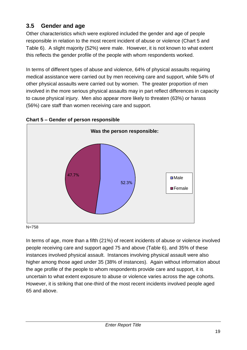# <span id="page-26-0"></span>**3.5 Gender and age**

Other characteristics which were explored included the gender and age of people responsible in relation to the most recent incident of abuse or violence (Chart 5 and Table 6). A slight majority (52%) were male. However, it is not known to what extent this reflects the gender profile of the people with whom respondents worked.

In terms of different types of abuse and violence, 64% of physical assaults requiring medical assistance were carried out by men receiving care and support, while 54% of other physical assaults were carried out by women. The greater proportion of men involved in the more serious physical assaults may in part reflect differences in capacity to cause physical injury. Men also appear more likely to threaten (63%) or harass (56%) care staff than women receiving care and support.



## **Chart 5 – Gender of person responsible**

N=758

In terms of age, more than a fifth (21%) of recent incidents of abuse or violence involved people receiving care and support aged 75 and above (Table 6), and 35% of these instances involved physical assault. Instances involving physical assault were also higher among those aged under 35 (38% of instances). Again without information about the age profile of the people to whom respondents provide care and support, it is uncertain to what extent exposure to abuse or violence varies across the age cohorts. However, it is striking that one-third of the most recent incidents involved people aged 65 and above.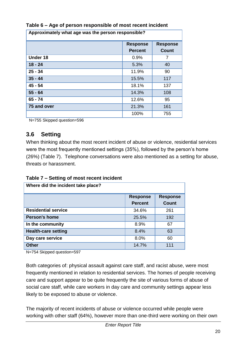| Approximately what age was the person responsible? |                                   |                                 |  |
|----------------------------------------------------|-----------------------------------|---------------------------------|--|
|                                                    | <b>Response</b><br><b>Percent</b> | <b>Response</b><br><b>Count</b> |  |
| Under 18                                           | 0.9%                              | 7                               |  |
| $18 - 24$                                          | 5.3%                              | 40                              |  |
| $25 - 34$                                          | 11.9%                             | 90                              |  |
| $35 - 44$                                          | 15.5%                             | 117                             |  |
| $45 - 54$                                          | 18.1%                             | 137                             |  |
| $55 - 64$                                          | 14.3%                             | 108                             |  |
| $65 - 74$                                          | 12.6%                             | 95                              |  |
| 75 and over                                        | 21.3%                             | 161                             |  |
|                                                    | 100%                              | 755                             |  |

## **Table 6 – Age of person responsible of most recent incident**

N=755 Skipped question=596

# <span id="page-27-0"></span>**3.6 Setting**

When thinking about the most recent incident of abuse or violence, residential services were the most frequently mentioned settings (35%), followed by the person's home (26%) (Table 7). Telephone conversations were also mentioned as a setting for abuse, threats or harassment.

|  |  | Table 7 – Setting of most recent incident |
|--|--|-------------------------------------------|
|--|--|-------------------------------------------|

| Where did the incident take place? |                                   |                                 |
|------------------------------------|-----------------------------------|---------------------------------|
|                                    | <b>Response</b><br><b>Percent</b> | <b>Response</b><br><b>Count</b> |
| <b>Residential service</b>         | 34.6%                             | 261                             |
| <b>Person's home</b>               | 25.5%                             | 192                             |
| In the community                   | 8.9%                              | 67                              |
| <b>Health-care setting</b>         | 8.4%                              | 63                              |
| Day care service                   | 8.0%                              | 60                              |
| <b>Other</b>                       | 14.7%                             | 111                             |

N=754 Skipped question=597

Both categories of: physical assault against care staff, and racist abuse, were most frequently mentioned in relation to residential services. The homes of people receiving care and support appear to be quite frequently the site of various forms of abuse of social care staff, while care workers in day care and community settings appear less likely to be exposed to abuse or violence.

The majority of recent incidents of abuse or violence occurred while people were working with other staff (64%), however more than one-third were working on their own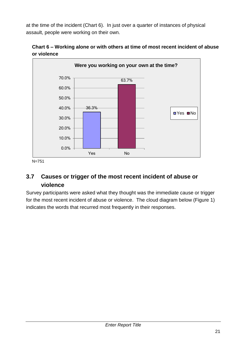at the time of the incident (Chart 6). In just over a quarter of instances of physical assault, people were working on their own.





# <span id="page-28-0"></span>**3.7 Causes or trigger of the most recent incident of abuse or violence**

Survey participants were asked what they thought was the immediate cause or trigger for the most recent incident of abuse or violence. The cloud diagram below (Figure 1) indicates the words that recurred most frequently in their responses.

N=751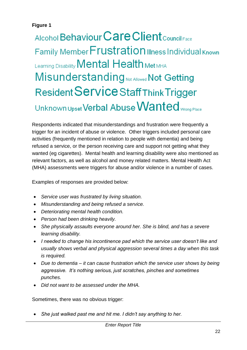## **Figure 1**

# Alcohol Behaviour Care Client Council Face Family Member Frustration Illness Individual Known Learning Disability **Mental Health Met MHA** Misunderstanding Not Allowed Not Getting Resident Service Staff Think Trigger Unknown Upset Verbal Abuse Wanted Wrong Place

Respondents indicated that misunderstandings and frustration were frequently a trigger for an incident of abuse or violence. Other triggers included personal care activities (frequently mentioned in relation to people with dementia) and being refused a service, or the person receiving care and support not getting what they wanted (eg cigarettes). Mental health and learning disability were also mentioned as relevant factors, as well as alcohol and money related matters. Mental Health Act (MHA) assessments were triggers for abuse and/or violence in a number of cases.

Examples of responses are provided below:

- *Service user was frustrated by living situation.*
- *Misunderstanding and being refused a service.*
- *Deteriorating mental health condition.*
- *Person had been drinking heavily.*
- *She physically assaults everyone around her. She is blind, and has a severe learning disability.*
- *I needed to change his incontinence pad which the service user doesn't like and usually shows verbal and physical aggression several times a day when this task is required.*
- *Due to dementia – it can cause frustration which the service user shows by being aggressive. It's nothing serious, just scratches, pinches and sometimes punches.*
- *Did not want to be assessed under the MHA.*

Sometimes, there was no obvious trigger:

*She just walked past me and hit me. I didn't say anything to her.*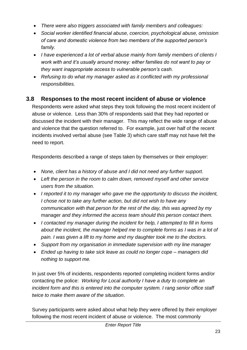- *There were also triggers associated with family members and colleagues:*
- *Social worker identified financial abuse, coercion, psychological abuse, omission of care and domestic violence from two members of the supported person's family.*
- *I have experienced a lot of verbal abuse mainly from family members of clients I work with and it's usually around money: either families do not want to pay or they want inappropriate access to vulnerable person's cash.*
- *Refusing to do what my manager asked as it conflicted with my professional responsibilities.*

# <span id="page-30-0"></span>**3.8 Responses to the most recent incident of abuse or violence**

Respondents were asked what steps they took following the most recent incident of abuse or violence. Less than 30% of respondents said that they had reported or discussed the incident with their manager. This may reflect the wide range of abuse and violence that the question referred to. For example, just over half of the recent incidents involved verbal abuse (see Table 3) which care staff may not have felt the need to report.

Respondents described a range of steps taken by themselves or their employer:

- *None, client has a history of abuse and I did not need any further support.*
- *Left the person in the room to calm down, removed myself and other service users from the situation.*
- *I reported it to my* manager *who gave me the opportunity to discuss the incident, I chose not to take any further action, but did not wish to have any communication with that person for the rest of the day, this was agreed by my*  manager *and they informed the access team should this person contact them.*
- *I contacted my manager during the incident for help, I attempted to fill in forms*  about the incident, the manager helped me to complete forms as I was in a lot of *pain. I was given a lift to my home and my daughter took me to the doctors.*
- *Support from my organisation in immediate supervision with my line manager*
- *Ended up having to take sick leave as could no longer cope – managers did nothing to support me.*

In just over 5% of incidents, respondents reported completing incident forms and/or contacting the police: *Working for Local authority I have a duty to complete an incident form and this is entered into the computer system. I rang senior office staff twice to make them aware of the situation*.

Survey participants were asked about what help they were offered by their employer following the most recent incident of abuse or violence. The most commonly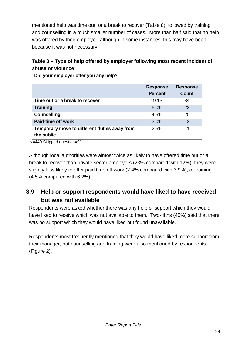mentioned help was time out, or a break to recover (Table 8), followed by training and counselling in a much smaller number of cases. More than half said that no help was offered by their employer, although in some instances, this may have been because it was not necessary.

| Table 8 – Type of help offered by employer following most recent incident of |
|------------------------------------------------------------------------------|
| abuse or violence                                                            |

| Did your employer offer you any help?        |                 |                 |  |
|----------------------------------------------|-----------------|-----------------|--|
|                                              | <b>Response</b> | <b>Response</b> |  |
|                                              | <b>Percent</b>  | <b>Count</b>    |  |
| Time out or a break to recover               | 19.1%           | 84              |  |
| <b>Training</b>                              | 5.0%            | 22              |  |
| <b>Counselling</b>                           | 4.5%            | 20              |  |
| <b>Paid-time off work</b>                    | 3.0%            | 13              |  |
| Temporary move to different duties away from | 2.5%            | 11              |  |
| the public                                   |                 |                 |  |

N=440 Skipped question=911

Although local authorities were almost twice as likely to have offered time out or a break to recover than private sector employers (23% compared with 12%); they were slightly less likely to offer paid time off work (2.4% compared with 3.9%); or training (4.5% compared with 6.2%).

# <span id="page-31-0"></span>**3.9 Help or support respondents would have liked to have received but was not available**

Respondents were asked whether there was any help or support which they would have liked to receive which was not available to them. Two-fifths (40%) said that there was no support which they would have liked but found unavailable.

Respondents most frequently mentioned that they would have liked more support from their manager, but counselling and training were also mentioned by respondents (Figure 2).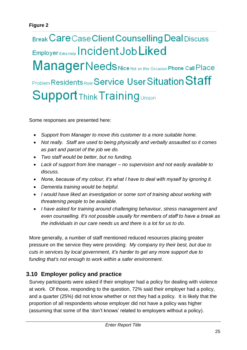# Break Care Case Client Counselling Deal Discuss Employer Extra Help | ncident Job Liked ManagerNeeds Nice Not on this Occasion Phone Call Place Problem Residents Role Service User Situation Staff **Support Think Training Unison**

Some responses are presented here:

- *Support from Manager to move this customer to a more suitable home.*
- *Not really. Staff are used to being physically and verbally assaulted so it comes as part and parcel of the job we do.*
- *Two staff would be better, but no funding.*
- *Lack of support from line manager – no supervision and not easily available to discuss.*
- *None, because of my colour, it's what I have to deal with myself by ignoring it.*
- *Dementia training would be helpful.*
- *I would have liked an investigation or some sort of training about working with threatening people to be available.*
- *I have asked for training around challenging behaviour, stress management and even counselling. It's not possible usually for members of staff to have a break as the individuals in our care needs us and there is a lot for us to do.*

More generally, a number of staff mentioned reduced resources placing greater pressure on the service they were providing: *My company try their best, but due to cuts in services by local government, it's harder to get any more support due to funding that's not enough to work within a safer environment*.

# <span id="page-32-0"></span>**3.10 Employer policy and practice**

Survey participants were asked if their employer had a policy for dealing with violence at work. Of those, responding to the question, 72% said their employer had a policy, and a quarter (25%) did not know whether or not they had a policy. It is likely that the proportion of all respondents whose employer did not have a policy was higher (assuming that some of the 'don't knows' related to employers without a policy).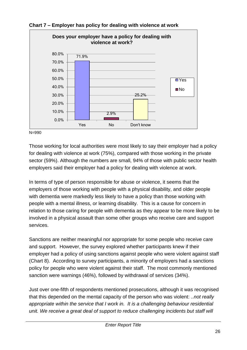

**Chart 7 – Employer has policy for dealing with violence at work**

N=990

Those working for local authorities were most likely to say their employer had a policy for dealing with violence at work (75%), compared with those working in the private sector (59%). Although the numbers are small, 94% of those with public sector health employers said their employer had a policy for dealing with violence at work.

In terms of type of person responsible for abuse or violence, it seems that the employers of those working with people with a physical disability, and older people with dementia were markedly less likely to have a policy than those working with people with a mental illness, or learning disability. This is a cause for concern in relation to those caring for people with dementia as they appear to be more likely to be involved in a physical assault than some other groups who receive care and support services.

Sanctions are neither meaningful nor appropriate for some people who receive care and support. However, the survey explored whether participants knew if their employer had a policy of using sanctions against people who were violent against staff (Chart 8). According to survey participants, a minority of employers had a sanctions policy for people who were violent against their staff. The most commonly mentioned sanction were warnings (46%), followed by withdrawal of services (34%).

Just over one-fifth of respondents mentioned prosecutions, although it was recognised that this depended on the mental capacity of the person who was violent: *..not really appropriate within the service that I work in. It is a challenging behaviour residential unit.* We receive a great deal of support to reduce challenging incidents but staff will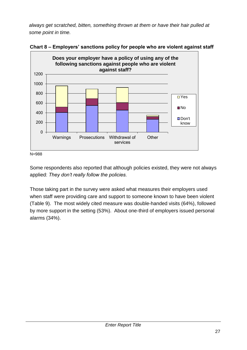*always get scratched, bitten, something thrown at them or have their hair pulled at some point in time.*





Some respondents also reported that although policies existed, they were not always applied: *They don't really follow the policies.*

Those taking part in the survey were asked what measures their employers used when staff were providing care and support to someone known to have been violent (Table 9). The most widely cited measure was double-handed visits (64%), followed by more support in the setting (53%). About one-third of employers issued personal alarms (34%).

N=988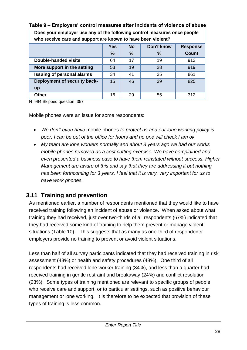| Does your employer use any of the following control measures once people<br>who receive care and support are known to have been violent? |     |           |                   |                 |
|------------------------------------------------------------------------------------------------------------------------------------------|-----|-----------|-------------------|-----------------|
|                                                                                                                                          | Yes | <b>No</b> | <b>Don't know</b> | <b>Response</b> |
|                                                                                                                                          | %   | $\%$      | %                 | <b>Count</b>    |
| Double-handed visits                                                                                                                     | 64  | 17        | 19                | 913             |
| More support in the setting                                                                                                              | 53  | 19        | 28                | 919             |
| <b>Issuing of personal alarms</b>                                                                                                        | 34  | 41        | 25                | 861             |
| Deployment of security back-                                                                                                             | 15  | 46        | 39                | 825             |
| up                                                                                                                                       |     |           |                   |                 |
| <b>Other</b>                                                                                                                             | 16  | 29        | 55                | 312             |

#### **Table 9 – Employers' control measures after incidents of violence of abuse**

N=994 Skipped question=357

Mobile phones were an issue for some respondents:

- *We don't even have* mobile phones *to protect us and our lone working policy is poor. I can be out of the office for hours and no one will check I am ok.*
- *My team are lone workers normally and about 3 years ago we had our works mobile phones removed as a cost cutting exercise. We have complained and even presented a business case to have them reinstated without success. Higher Management are aware of this and say that they are addressing it but nothing has been forthcoming for 3 years. I feel that it is very, very important for us to have work phones.*

# <span id="page-35-0"></span>**3.11 Training and prevention**

As mentioned earlier, a number of respondents mentioned that they would like to have received training following an incident of abuse or violence. When asked about what training they had received, just over two-thirds of all respondents (67%) indicated that they had received some kind of training to help them prevent or manage violent situations (Table 10). This suggests that as many as one-third of respondents' employers provide no training to prevent or avoid violent situations.

Less than half of all survey participants indicated that they had received training in risk assessment (48%) or health and safety procedures (48%). One third of all respondents had received lone worker training (34%), and less than a quarter had received training in gentle restraint and breakaway (24%) and conflict resolution (23%). Some types of training mentioned are relevant to specific groups of people who receive care and support, or to particular settings, such as positive behaviour management or lone working. It is therefore to be expected that provision of these types of training is less common.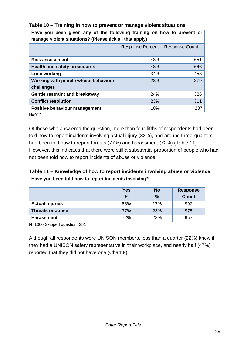| Have you been given any of the following training on now to prevent or<br>manage violent situations? (Please tick all that apply) |                         |                       |  |  |
|-----------------------------------------------------------------------------------------------------------------------------------|-------------------------|-----------------------|--|--|
|                                                                                                                                   | <b>Response Percent</b> | <b>Response Count</b> |  |  |
| <b>Risk assessment</b>                                                                                                            | 48%                     | 651                   |  |  |
| <b>Health and safety procedures</b>                                                                                               | 48%                     | 646                   |  |  |
| Lone working                                                                                                                      | 34%                     | 453                   |  |  |
| Working with people whose behaviour<br>challenges                                                                                 | 28%                     | 379                   |  |  |
| <b>Gentle restraint and breakaway</b>                                                                                             | 24%                     | 326                   |  |  |
| <b>Conflict resolution</b>                                                                                                        | 23%                     | 311                   |  |  |
| Positive behaviour management                                                                                                     | 18%                     | 237                   |  |  |
| $N = 912$                                                                                                                         |                         |                       |  |  |

#### **Table 10 – Training in how to prevent or manage violent situations Have you been given any of the following training on how to prevent or**

Of those who answered the question, more than four-fifths of respondents had been told how to report incidents involving actual injury (83%), and around three-quarters had been told how to report threats (77%) and harassment (72%) (Table 11). However, this indicates that there were still a substantial proportion of people who had not been told how to report incidents of abuse or violence.

**Table 11 – Knowledge of how to report incidents involving abuse or violence Have you been told how to report incidents involving?**

| Have you been told now to report incluents involving? |               |           |                 |
|-------------------------------------------------------|---------------|-----------|-----------------|
|                                                       | <b>Yes</b>    | <b>No</b> | <b>Response</b> |
|                                                       | $\frac{0}{0}$ | $\%$      | <b>Count</b>    |
| <b>Actual injuries</b>                                | 83%           | 17%       | 992             |
| <b>Threats or abuse</b>                               | 77%           | 23%       | 975             |
| <b>Harassment</b>                                     | 72%           | 28%       | 957             |

N=1000 Skipped question=351

Although all respondents were UNISON members, less than a quarter (22%) knew if they had a UNISON safety representative in their workplace, and nearly half (47%) reported that they did not have one (Chart 9).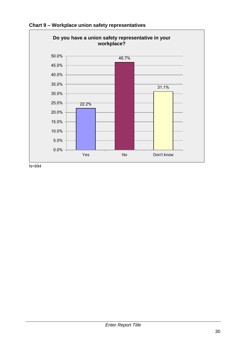

**Chart 9 – Workplace union safety representatives**

N=994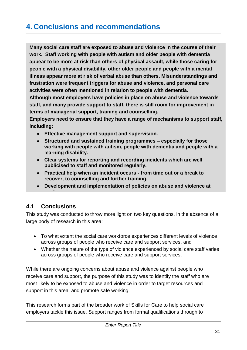# <span id="page-38-0"></span>**4. Conclusions and recommendations**

**Many social care staff are exposed to abuse and violence in the course of their work. Staff working with people with autism and older people with dementia appear to be more at risk than others of physical assault, while those caring for people with a physical disability, other older people and people with a mental illness appear more at risk of verbal abuse than others. Misunderstandings and frustration were frequent triggers for abuse and violence, and personal care activities were often mentioned in relation to people with dementia. Although most employers have policies in place on abuse and violence towards** 

**staff, and many provide support to staff, there is still room for improvement in terms of managerial support, training and counselling.**

**Employers need to ensure that they have a range of mechanisms to support staff, including:**

- **Effective management support and supervision.**
- **Structured and sustained training programmes – especially for those working with people with autism, people with dementia and people with a learning disability.**
- **Clear systems for reporting and recording incidents which are well publicised to staff and monitored regularly.**
- **Practical help when an incident occurs - from time out or a break to recover, to counselling and further training.**
- **Development and implementation of policies on abuse and violence at**

# <span id="page-38-1"></span>**4.1 Conclusions**

**work.**

This study was conducted to throw more light on two key questions, in the absence of a large body of research in this area:

- To what extent the social care workforce experiences different levels of violence across groups of people who receive care and support services, and
- Whether the nature of the type of violence experienced by social care staff varies across groups of people who receive care and support services.

While there are ongoing concerns about abuse and violence against people who receive care and support, the purpose of this study was to identify the staff who are most likely to be exposed to abuse and violence in order to target resources and support in this area, and promote safe working.

This research forms part of the broader work of Skills for Care to help social care employers tackle this issue. Support ranges from formal qualifications through to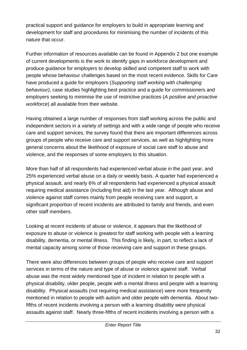practical support and guidance for employers to build in appropriate learning and development for staff and procedures for minimising the number of incidents of this nature that occur.

Further information of resources available can be found in Appendix 2 but one example of current developments is the work to identify gaps in workforce development and produce guidance for employers to develop skilled and competent staff to work with people whose behaviour challenges based on the most recent evidence. Skills for Care have produced a guide for employers (*Supporting staff working with challenging behaviour)*, case studies highlighting best practice and a guide for commissioners and employers seeking to minimise the use of restrictive practices (*A positive and proactive workforce*) all available from their website.

Having obtained a large number of responses from staff working across the public and independent sectors in a variety of settings and with a wide range of people who receive care and support services, the survey found that there are important differences across groups of people who receive care and support services, as well as highlighting more general concerns about the likelihood of exposure of social care staff to abuse and violence, and the responses of some employers to this situation.

More than half of all respondents had experienced verbal abuse in the past year, and 25% experienced verbal abuse on a daily or weekly basis. A quarter had experienced a physical assault, and nearly 6% of all respondents had experienced a physical assault requiring medical assistance (including first aid) in the last year. Although abuse and violence against staff comes mainly from people receiving care and support, a significant proportion of recent incidents are attributed to family and friends, and even other staff members.

Looking at recent incidents of abuse or violence, it appears that the likelihood of exposure to abuse or violence is greatest for staff working with people with a learning disability, dementia, or mental illness. This finding is likely, in part, to reflect a lack of mental capacity among some of those receiving care and support in these groups.

There were also differences between groups of people who receive care and support services in terms of the nature and type of abuse or violence against staff. Verbal abuse was the most widely mentioned type of incident in relation to people with a physical disability, older people, people with a mental illness and people with a learning disability. Physical assaults (not requiring medical assistance) were more frequently mentioned in relation to people with autism and older people with dementia. About twofifths of recent incidents involving a person with a learning disability were physical assaults against staff. Nearly three-fifths of recent incidents involving a person with a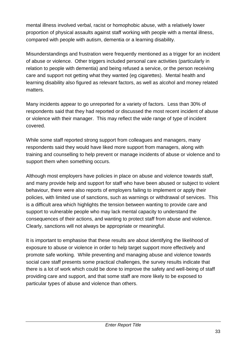mental illness involved verbal, racist or homophobic abuse, with a relatively lower proportion of physical assaults against staff working with people with a mental illness, compared with people with autism, dementia or a learning disability.

Misunderstandings and frustration were frequently mentioned as a trigger for an incident of abuse or violence. Other triggers included personal care activities (particularly in relation to people with dementia) and being refused a service, or the person receiving care and support not getting what they wanted (eg cigarettes). Mental health and learning disability also figured as relevant factors, as well as alcohol and money related matters.

Many incidents appear to go unreported for a variety of factors. Less than 30% of respondents said that they had reported or discussed the most recent incident of abuse or violence with their manager. This may reflect the wide range of type of incident covered.

While some staff reported strong support from colleagues and managers, many respondents said they would have liked more support from managers, along with training and counselling to help prevent or manage incidents of abuse or violence and to support them when something occurs.

Although most employers have policies in place on abuse and violence towards staff, and many provide help and support for staff who have been abused or subject to violent behaviour, there were also reports of employers failing to implement or apply their policies, with limited use of sanctions, such as warnings or withdrawal of services. This is a difficult area which highlights the tension between wanting to provide care and support to vulnerable people who may lack mental capacity to understand the consequences of their actions, and wanting to protect staff from abuse and violence. Clearly, sanctions will not always be appropriate or meaningful.

It is important to emphasise that these results are about identifying the likelihood of exposure to abuse or violence in order to help target support more effectively and promote safe working. While preventing and managing abuse and violence towards social care staff presents some practical challenges, the survey results indicate that there is a lot of work which could be done to improve the safety and well-being of staff providing care and support, and that some staff are more likely to be exposed to particular types of abuse and violence than others.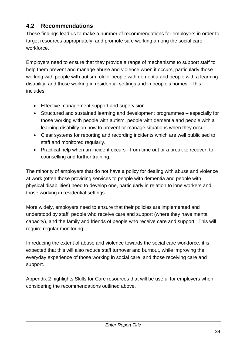# <span id="page-41-0"></span>**4.2 Recommendations**

These findings lead us to make a number of recommendations for employers in order to target resources appropriately, and promote safe working among the social care workforce.

Employers need to ensure that they provide a range of mechanisms to support staff to help them prevent and manage abuse and violence when it occurs, particularly those working with people with autism, older people with dementia and people with a learning disability; and those working in residential settings and in people's homes. This includes:

- **Effective management support and supervision.**
- Structured and sustained learning and development programmes especially for those working with people with autism, people with dementia and people with a learning disability on how to prevent or manage situations when they occur.
- Clear systems for reporting and recording incidents which are well publicised to staff and monitored regularly.
- Practical help when an incident occurs from time out or a break to recover, to counselling and further training.

The minority of employers that do not have a policy for dealing with abuse and violence at work (often those providing services to people with dementia and people with physical disabilities) need to develop one, particularly in relation to lone workers and those working in residential settings.

More widely, employers need to ensure that their policies are implemented and understood by staff, people who receive care and support (where they have mental capacity), and the family and friends of people who receive care and support. This will require regular monitoring.

In reducing the extent of abuse and violence towards the social care workforce, it is expected that this will also reduce staff turnover and burnout, while improving the everyday experience of those working in social care, and those receiving care and support.

Appendix 2 highlights Skills for Care resources that will be useful for employers when considering the recommendations outlined above.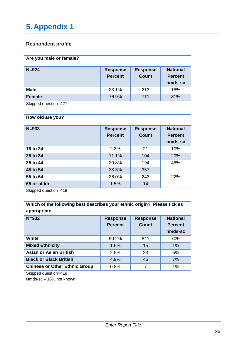#### <span id="page-42-0"></span>**Respondent profile**

| Are you male or female? |                                   |                                 |                                              |
|-------------------------|-----------------------------------|---------------------------------|----------------------------------------------|
| $N = 924$               | <b>Response</b><br><b>Percent</b> | <b>Response</b><br><b>Count</b> | <b>National</b><br><b>Percent</b><br>nmds-sc |
| <b>Male</b>             | 23.1%                             | 213                             | 18%                                          |
| <b>Female</b>           | 76.9%                             | 711                             | 81%                                          |

Skipped question=427

| How old are you? |                                   |                                 |                                              |
|------------------|-----------------------------------|---------------------------------|----------------------------------------------|
| $N = 933$        | <b>Response</b><br><b>Percent</b> | <b>Response</b><br><b>Count</b> | <b>National</b><br><b>Percent</b><br>nmds-sc |
| 18 to 24         | 2.3%                              | 21                              | 10%                                          |
| 25 to 34         | 11.1%                             | 104                             | 20%                                          |
| 35 to 44         | 20.8%                             | 194                             | 48%                                          |
| 45 to 54         | 38.3%                             | 357                             |                                              |
| 55 to 64         | 26.0%                             | 243                             | 22%                                          |
| 65 or older      | 1.5%                              | 14                              |                                              |

Skipped question=418

| Which of the following best describes your ethnic origin? Please tick as<br>appropriate. |                                   |                                 |                                              |
|------------------------------------------------------------------------------------------|-----------------------------------|---------------------------------|----------------------------------------------|
| $N = 932$                                                                                | <b>Response</b><br><b>Percent</b> | <b>Response</b><br><b>Count</b> | <b>National</b><br><b>Percent</b><br>nmds-sc |
| <b>White</b>                                                                             | 90.2%                             | 841                             | 70%                                          |
| <b>Mixed Ethnicity</b>                                                                   | 1.6%                              | 15                              | $1\%$                                        |
| <b>Asian or Asian British</b>                                                            | 2.5%                              | 23                              | 5%                                           |
| <b>Black or Black British</b>                                                            | 4.9%                              | 46                              | 7%                                           |
| <b>Chinese or Other Ethnic Group</b>                                                     | 0.8%                              | 7                               | 1%                                           |

Skipped question=419

Nmds-sc – 16% not known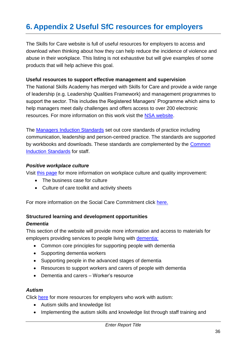# <span id="page-43-0"></span>**6. Appendix 2 Useful SfC resources for employers**

The Skills for Care website is full of useful resources for employers to access and download when thinking about how they can help reduce the incidence of violence and abuse in their workplace. This listing is not exhaustive but will give examples of some products that will help achieve this goal.

#### **Useful resources to support effective management and supervision**

The National Skills Academy has merged with Skills for Care and provide a wide range of leadership (e.g. Leadership Qualities Framework) and management programmes to support the sector. This includes the Registered Managers' Programme which aims to help managers meet daily challenges and offers access to over 200 electronic resources. For more information on this work visit the [NSA website.](https://www.nsasocialcare.co.uk/)

The [Managers Induction Standards](http://www.skillsforcare.org.uk/Standards/Manager-Induction-Standards/Manager-Induction-Standards.aspx) set out core standards of practice including communication, leadership and person-centred practice. The standards are supported by workbooks and downloads. These standards are complemented by the [Common](http://www.skillsforcare.org.uk/Standards/Common-Induction-Standards/Common-Induction-Standards.aspx)  [Induction Standards](http://www.skillsforcare.org.uk/Standards/Common-Induction-Standards/Common-Induction-Standards.aspx) for staff.

#### *Positive workplace culture*

Visit [this page](http://www.skillsforcare.org.uk/Skills/Culture/Culture.aspx) for more information on workplace culture and quality improvement:

- The business case for culture
- Culture of care toolkit and activity sheets

For more information on the Social Care Commitment click [here.](http://www.skillsforcare.org.uk/Standards/The-Social-Care-Commitment/The-Social-Care-Commitment.aspx) 

# **Structured learning and development opportunities**

#### *Dementia*

This section of the website will provide more information and access to materials for employers providing services to people living with [dementia:](http://www.skillsforcare.org.uk/Skills/Dementia/Dementia.aspx)

- Common core principles for supporting people with dementia
- Supporting dementia workers
- Supporting people in the advanced stages of dementia
- Resources to support workers and carers of people with dementia
- Dementia and carers Worker's resource

#### *Autism*

Click [here](http://www.skillsforcare.org.uk/Skills/Autism/Autism.aspx) for more resources for employers who work with autism:

- Autism skills and knowledge list
- Implementing the autism skills and knowledge list through staff training and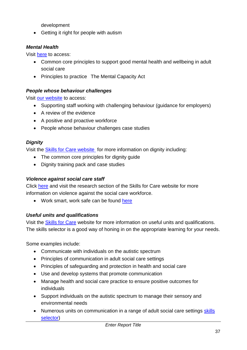development

• Getting it right for people with autism

#### *Mental Health*

Visit [here](http://www.skillsforcare.org.uk/Skills/Mental-health/Mental-health.aspx) to access:

- Common core principles to support good mental health and wellbeing in adult social care
- Principles to practice The Mental Capacity Act

#### *People whose behaviour challenges*

Visit [our website](http://www.skillsforcare.org.uk/Skills/People-whose-behaviour-challenges/People-whose-behaviour-challenges.aspx) to access:

- Supporting staff working with challenging behaviour (guidance for employers)
- A review of the evidence
- A positive and proactive workforce
- People whose behaviour challenges case studies

#### *Dignity*

Visit the [Skills for Care website](http://www.skillsforcare.org.uk/Skills/Dignity/Dignity.aspx) for more information on dignity including:

- The common core principles for dignity guide
- Dignity training pack and case studies

#### *Violence against social care staff*

Click [here](http://www.skillsforcare.org.uk/NMDS-SC-intelligence-research-and-innovation/Research/Research-reports/Violence-against-social-care-and-support-staff.aspx) and visit the research section of the Skills for Care website for more information on violence against the social care workforce.

• Work smart, work safe can be found [here](http://www.skillsforcare.org.uk/Document-library/Standards/Safety-guidance/Work%20smart,%20work%20safe%20-%20guide%20for%20employers.pdf)

#### *Useful units and qualifications*

Visit the [Skills for Care](http://www.skillsforcare.org.uk/Qualifications-and-Apprenticeships/Qualifications-and-Apprenticeships.aspx) website for more information on useful units and qualifications. The skills selector is a good way of honing in on the appropriate learning for your needs.

Some examples include:

- Communicate with individuals on the autistic spectrum
- Principles of communication in adult social care settings
- Principles of safeguarding and protection in health and social care
- Use and develop systems that promote communication
- Manage health and social care practice to ensure positive outcomes for individuals
- Support individuals on the autistic spectrum to manage their sensory and environmental needs
- Numerous units on communication in a range of adult social care settings skills [selector\)](http://skillselector.skillsforcare.org.uk/topics.aspx?id=1)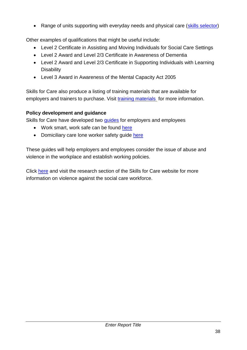• Range of units supporting with everyday needs and physical care [\(skills selector\)](http://skillselector.skillsforcare.org.uk/topics.aspx?id=10)

Other examples of qualifications that might be useful include:

- Level 2 Certificate in Assisting and Moving Individuals for Social Care Settings
- Level 2 Award and Level 2/3 Certificate in Awareness of Dementia
- Level 2 Award and Level 2/3 Certificate in Supporting Individuals with Learning **Disability**
- Level 3 Award in Awareness of the Mental Capacity Act 2005

Skills for Care also produce a listing of training materials that are available for employers and trainers to purchase. Visit [training materials](http://www.skillsforcare.org.uk/Qualifications-and-Apprenticeships/Training-materials-listing/Training-materials-listing.aspx) for more information.

#### **Policy development and guidance**

Skills for Care have developed two quides for employers and employees

- Work smart, work safe can be found [here](http://www.skillsforcare.org.uk/Document-library/Standards/Safety-guidance/Work%20smart,%20work%20safe%20-%20guide%20for%20employers.pdf)
- Domiciliary care lone worker safety quide [here](http://www.skillsforcare.org.uk/Document-library/Skills/Lone-Worker-Guide.pdf)

These guides will help employers and employees consider the issue of abuse and violence in the workplace and establish working policies.

Click [here](http://www.skillsforcare.org.uk/NMDS-SC-intelligence-research-and-innovation/Research/Research-reports/Violence-against-social-care-and-support-staff.aspx) and visit the research section of the Skills for Care website for more information on violence against the social care workforce.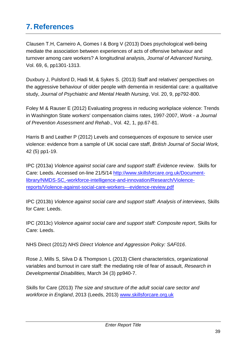# <span id="page-46-0"></span>**7. References**

Clausen T.H, Carneiro A, Gomes I & Borg V (2013) Does psychological well-being mediate the association between experiences of acts of offensive behaviour and turnover among care workers? A longitudinal analysis, *Journal of Advanced Nursing*, Vol. 69, 6, pp1301-1313.

Duxbury J, Pulsford D, Hadi M, & Sykes S. (2013) Staff and relatives' perspectives on the aggressive behaviour of older people with dementia in residential care: a qualitative study, *Journal of Psychiatric and Mental Health Nursing*, Vol. 20, 9, pp792-800.

Foley M & Rauser E (2012) Evaluating progress in reducing workplace violence: Trends in Washington State workers' compensation claims rates, 1997-2007, *Work - a Journal of Prevention Assessment and Rehab*., Vol. 42, 1, pp.67-81.

Harris B and Leather P (2012) Levels and consequences of exposure to service user violence: evidence from a sample of UK social care staff, *British Journal of Social Work,* 42 (5) pp1-19.

IPC (2013a) *Violence against social care and support staff: Evidence review*. Skills for Care: Leeds. Accessed on-line 21/5/14 [http://www.skillsforcare.org.uk/Document](http://www.skillsforcare.org.uk/Document-library/NMDS-SC,-workforce-intelligence-and-innovation/Research/Violence-reports/Violence-against-social-care-workers---evidence-review.pdf)[library/NMDS-SC,-workforce-intelligence-and-innovation/Research/Violence](http://www.skillsforcare.org.uk/Document-library/NMDS-SC,-workforce-intelligence-and-innovation/Research/Violence-reports/Violence-against-social-care-workers---evidence-review.pdf)[reports/Violence-against-social-care-workers---evidence-review.pdf](http://www.skillsforcare.org.uk/Document-library/NMDS-SC,-workforce-intelligence-and-innovation/Research/Violence-reports/Violence-against-social-care-workers---evidence-review.pdf)

IPC (2013b) *Violence against social care and support staff: Analysis of interviews*, Skills for Care: Leeds.

IPC (2013c) *Violence against social care and support staff: Composite report*, Skills for Care: Leeds.

NHS Direct (2012) *NHS Direct Violence and Aggression Policy: SAF016*.

Rose J, Mills S, Silva D & Thompson L (2013) Client characteristics, organizational variables and burnout in care staff: the mediating role of fear of assault, *Research in Developmental Disabilities,* March 34 (3) pp940-7.

Skills for Care (2013) *The size and structure of the adult social care sector and workforce in England*, 2013 (Leeds, 2013) [www.skillsforcare.org.uk](http://www.skillsforcare.org.uk/)